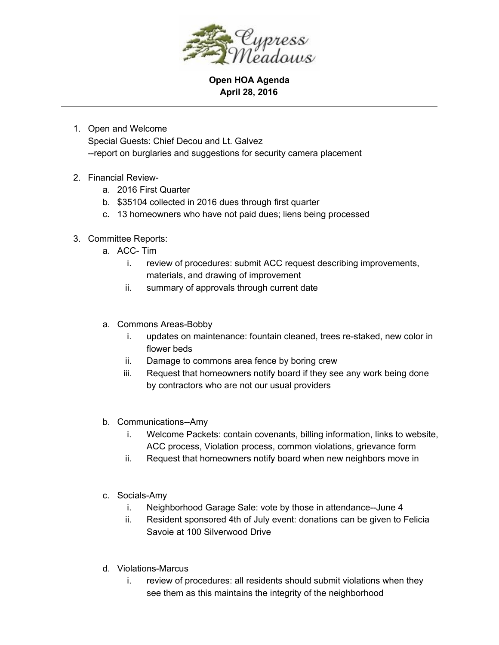

**Open HOA Agenda April 28, 2016**

- 1. Open and Welcome Special Guests: Chief Decou and Lt. Galvez report on burglaries and suggestions for security camera placement
- 2. Financial Review
	- a. 2016 First Quarter
	- b. \$35104 collected in 2016 dues through first quarter
	- c. 13 homeowners who have not paid dues; liens being processed
- 3. Committee Reports:
	- a. ACC-Tim
		- i. review of procedures: submit ACC request describing improvements, materials, and drawing of improvement
		- ii. summary of approvals through current date
	- a. Commons Areas-Bobby
		- i. updates on maintenance: fountain cleaned, trees restaked, new color in flower beds
		- ii. Damage to commons area fence by boring crew
		- iii. Request that homeowners notify board if they see any work being done by contractors who are not our usual providers
	- b. Communications--Amy
		- i. Welcome Packets: contain covenants, billing information, links to website, ACC process, Violation process, common violations, grievance form
		- ii. Request that homeowners notify board when new neighbors move in
	- c. Socials-Amy
		- i. Neighborhood Garage Sale: vote by those in attendance--June 4
		- ii. Resident sponsored 4th of July event: donations can be given to Felicia Savoie at 100 Silverwood Drive
	- d. Violations-Marcus
		- i. review of procedures: all residents should submit violations when they see them as this maintains the integrity of the neighborhood